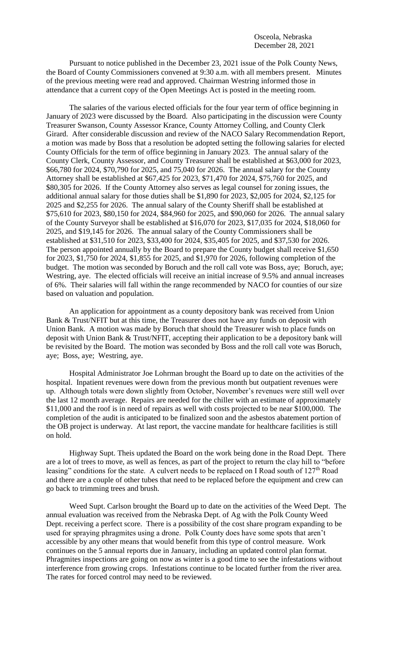Pursuant to notice published in the December 23, 2021 issue of the Polk County News, the Board of County Commissioners convened at 9:30 a.m. with all members present. Minutes of the previous meeting were read and approved. Chairman Westring informed those in attendance that a current copy of the Open Meetings Act is posted in the meeting room.

The salaries of the various elected officials for the four year term of office beginning in January of 2023 were discussed by the Board. Also participating in the discussion were County Treasurer Swanson, County Assessor Krance, County Attorney Colling, and County Clerk Girard. After considerable discussion and review of the NACO Salary Recommendation Report, a motion was made by Boss that a resolution be adopted setting the following salaries for elected County Officials for the term of office beginning in January 2023. The annual salary of the County Clerk, County Assessor, and County Treasurer shall be established at \$63,000 for 2023, \$66,780 for 2024, \$70,790 for 2025, and 75,040 for 2026. The annual salary for the County Attorney shall be established at \$67,425 for 2023, \$71,470 for 2024, \$75,760 for 2025, and \$80,305 for 2026. If the County Attorney also serves as legal counsel for zoning issues, the additional annual salary for those duties shall be \$1,890 for 2023, \$2,005 for 2024, \$2,125 for 2025 and \$2,255 for 2026. The annual salary of the County Sheriff shall be established at \$75,610 for 2023, \$80,150 for 2024, \$84,960 for 2025, and \$90,060 for 2026. The annual salary of the County Surveyor shall be established at \$16,070 for 2023, \$17,035 for 2024, \$18,060 for 2025, and \$19,145 for 2026. The annual salary of the County Commissioners shall be established at \$31,510 for 2023, \$33,400 for 2024, \$35,405 for 2025, and \$37,530 for 2026. The person appointed annually by the Board to prepare the County budget shall receive \$1,650 for 2023, \$1,750 for 2024, \$1,855 for 2025, and \$1,970 for 2026, following completion of the budget. The motion was seconded by Boruch and the roll call vote was Boss, aye; Boruch, aye; Westring, aye. The elected officials will receive an initial increase of 9.5% and annual increases of 6%. Their salaries will fall within the range recommended by NACO for counties of our size based on valuation and population.

An application for appointment as a county depository bank was received from Union Bank & Trust/NFIT but at this time, the Treasurer does not have any funds on deposit with Union Bank. A motion was made by Boruch that should the Treasurer wish to place funds on deposit with Union Bank & Trust/NFIT, accepting their application to be a depository bank will be revisited by the Board. The motion was seconded by Boss and the roll call vote was Boruch, aye; Boss, aye; Westring, aye.

Hospital Administrator Joe Lohrman brought the Board up to date on the activities of the hospital. Inpatient revenues were down from the previous month but outpatient revenues were up. Although totals were down slightly from October, November's revenues were still well over the last 12 month average. Repairs are needed for the chiller with an estimate of approximately \$11,000 and the roof is in need of repairs as well with costs projected to be near \$100,000. The completion of the audit is anticipated to be finalized soon and the asbestos abatement portion of the OB project is underway. At last report, the vaccine mandate for healthcare facilities is still on hold.

Highway Supt. Theis updated the Board on the work being done in the Road Dept. There are a lot of trees to move, as well as fences, as part of the project to return the clay hill to "before leasing" conditions for the state. A culvert needs to be replaced on I Road south of 127<sup>th</sup> Road and there are a couple of other tubes that need to be replaced before the equipment and crew can go back to trimming trees and brush.

Weed Supt. Carlson brought the Board up to date on the activities of the Weed Dept. The annual evaluation was received from the Nebraska Dept. of Ag with the Polk County Weed Dept. receiving a perfect score. There is a possibility of the cost share program expanding to be used for spraying phragmites using a drone. Polk County does have some spots that aren't accessible by any other means that would benefit from this type of control measure. Work continues on the 5 annual reports due in January, including an updated control plan format. Phragmites inspections are going on now as winter is a good time to see the infestations without interference from growing crops. Infestations continue to be located further from the river area. The rates for forced control may need to be reviewed.